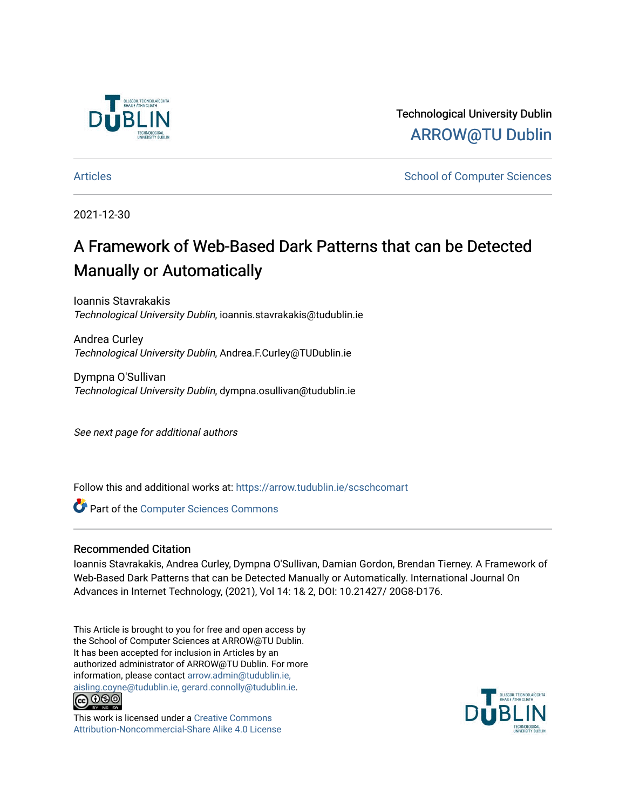

Technological University Dublin [ARROW@TU Dublin](https://arrow.tudublin.ie/) 

[Articles](https://arrow.tudublin.ie/scschcomart) **School of Computer Sciences** School of Computer Sciences

2021-12-30

# A Framework of Web-Based Dark Patterns that can be Detected Manually or Automatically

Ioannis Stavrakakis Technological University Dublin, ioannis.stavrakakis@tudublin.ie

Andrea Curley Technological University Dublin, Andrea.F.Curley@TUDublin.ie

Dympna O'Sullivan Technological University Dublin, dympna.osullivan@tudublin.ie

See next page for additional authors

Follow this and additional works at: [https://arrow.tudublin.ie/scschcomart](https://arrow.tudublin.ie/scschcomart?utm_source=arrow.tudublin.ie%2Fscschcomart%2F149&utm_medium=PDF&utm_campaign=PDFCoverPages)

**Part of the [Computer Sciences Commons](http://network.bepress.com/hgg/discipline/142?utm_source=arrow.tudublin.ie%2Fscschcomart%2F149&utm_medium=PDF&utm_campaign=PDFCoverPages)** 

### Recommended Citation

Ioannis Stavrakakis, Andrea Curley, Dympna O'Sullivan, Damian Gordon, Brendan Tierney. A Framework of Web-Based Dark Patterns that can be Detected Manually or Automatically. International Journal On Advances in Internet Technology, (2021), Vol 14: 1& 2, DOI: 10.21427/ 20G8-D176.

This Article is brought to you for free and open access by the School of Computer Sciences at ARROW@TU Dublin. It has been accepted for inclusion in Articles by an authorized administrator of ARROW@TU Dublin. For more information, please contact [arrow.admin@tudublin.ie,](mailto:arrow.admin@tudublin.ie,%20aisling.coyne@tudublin.ie,%20gerard.connolly@tudublin.ie)  [aisling.coyne@tudublin.ie, gerard.connolly@tudublin.ie](mailto:arrow.admin@tudublin.ie,%20aisling.coyne@tudublin.ie,%20gerard.connolly@tudublin.ie).



This work is licensed under a [Creative Commons](http://creativecommons.org/licenses/by-nc-sa/4.0/) [Attribution-Noncommercial-Share Alike 4.0 License](http://creativecommons.org/licenses/by-nc-sa/4.0/)

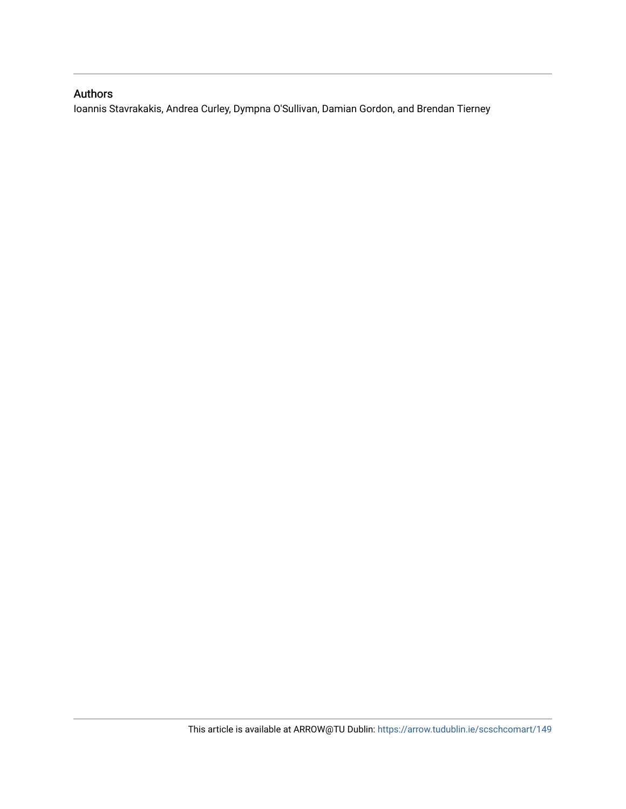## Authors

Ioannis Stavrakakis, Andrea Curley, Dympna O'Sullivan, Damian Gordon, and Brendan Tierney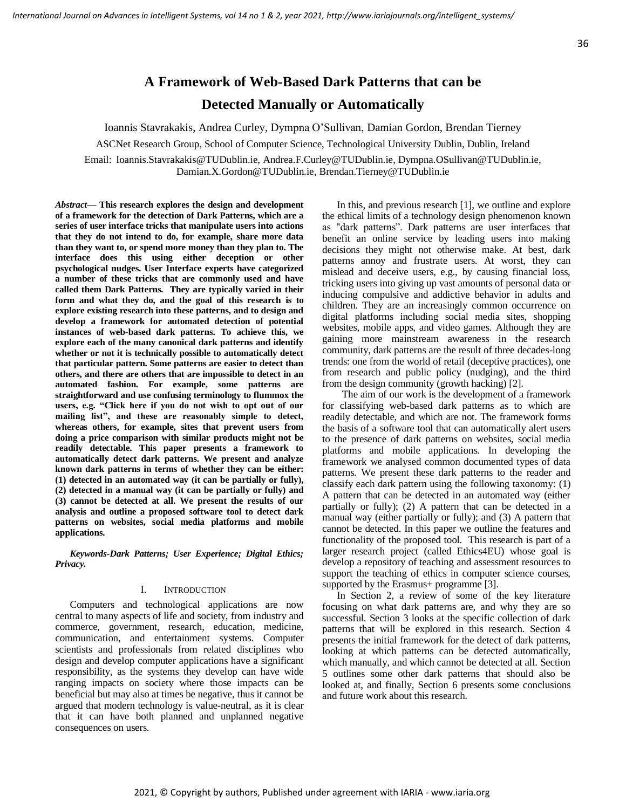## **A Framework of Web-Based Dark Patterns that can be Detected Manually or Automatically**

Ioannis Stavrakakis, Andrea Curley, Dympna O'Sullivan, Damian Gordon, Brendan Tierney

ASCNet Research Group, School of Computer Science, Technological University Dublin, Dublin, Ireland

Εmail: Ioannis.Stavrakakis@TUDublin.ie, Andrea.F.Curley@TUDublin.ie, Dympna.OSullivan@TUDublin.ie, Damian.X.Gordon@TUDublin.ie, Brendan.Tierney@TUDublin.ie

*Abstract***— This research explores the design and development of a framework for the detection of Dark Patterns, which are a series of user interface tricks that manipulate users into actions that they do not intend to do, for example, share more data than they want to, or spend more money than they plan to. The interface does this using either deception or other psychological nudges. User Interface experts have categorized a number of these tricks that are commonly used and have called them Dark Patterns. They are typically varied in their form and what they do, and the goal of this research is to explore existing research into these patterns, and to design and develop a framework for automated detection of potential instances of web-based dark patterns. To achieve this, we explore each of the many canonical dark patterns and identify whether or not it is technically possible to automatically detect that particular pattern. Some patterns are easier to detect than others, and there are others that are impossible to detect in an automated fashion. For example, some patterns are straightforward and use confusing terminology to flummox the users, e.g. "Click here if you do not wish to opt out of our mailing list", and these are reasonably simple to detect, whereas others, for example, sites that prevent users from doing a price comparison with similar products might not be readily detectable. This paper presents a framework to automatically detect dark patterns. We present and analyze known dark patterns in terms of whether they can be either: (1) detected in an automated way (it can be partially or fully), (2) detected in a manual way (it can be partially or fully) and (3) cannot be detected at all. We present the results of our analysis and outline a proposed software tool to detect dark patterns on websites, social media platforms and mobile applications.**

*Keywords-Dark Patterns; User Experience; Digital Ethics; Privacy.*

#### I. INTRODUCTION

Computers and technological applications are now central to many aspects of life and society, from industry and commerce, government, research, education, medicine, communication, and entertainment systems. Computer scientists and professionals from related disciplines who design and develop computer applications have a significant responsibility, as the systems they develop can have wide ranging impacts on society where those impacts can be beneficial but may also at times be negative, thus it cannot be argued that modern technology is value-neutral, as it is clear that it can have both planned and unplanned negative consequences on users.

In this, and previous research [1], we outline and explore the ethical limits of a technology design phenomenon known as "dark patterns". Dark patterns are user interfaces that benefit an online service by leading users into making decisions they might not otherwise make. At best, dark patterns annoy and frustrate users. At worst, they can mislead and deceive users, e.g., by causing financial loss, tricking users into giving up vast amounts of personal data or inducing compulsive and addictive behavior in adults and children. They are an increasingly common occurrence on digital platforms including social media sites, shopping websites, mobile apps, and video games. Although they are gaining more mainstream awareness in the research community, dark patterns are the result of three decades-long trends: one from the world of retail (deceptive practices), one from research and public policy (nudging), and the third from the design community (growth hacking) [2].

 The aim of our work is the development of a framework for classifying web-based dark patterns as to which are readily detectable, and which are not. The framework forms the basis of a software tool that can automatically alert users to the presence of dark patterns on websites, social media platforms and mobile applications. In developing the framework we analysed common documented types of data patterns. We present these dark patterns to the reader and classify each dark pattern using the following taxonomy: (1) A pattern that can be detected in an automated way (either partially or fully); (2) A pattern that can be detected in a manual way (either partially or fully); and (3) A pattern that cannot be detected. In this paper we outline the features and functionality of the proposed tool. This research is part of a larger research project (called Ethics4EU) whose goal is develop a repository of teaching and assessment resources to support the teaching of ethics in computer science courses, supported by the Erasmus+ programme [3].

In Section 2, a review of some of the key literature focusing on what dark patterns are, and why they are so successful. Section 3 looks at the specific collection of dark patterns that will be explored in this research. Section 4 presents the initial framework for the detect of dark patterns, looking at which patterns can be detected automatically, which manually, and which cannot be detected at all. Section 5 outlines some other dark patterns that should also be looked at, and finally, Section 6 presents some conclusions and future work about this research.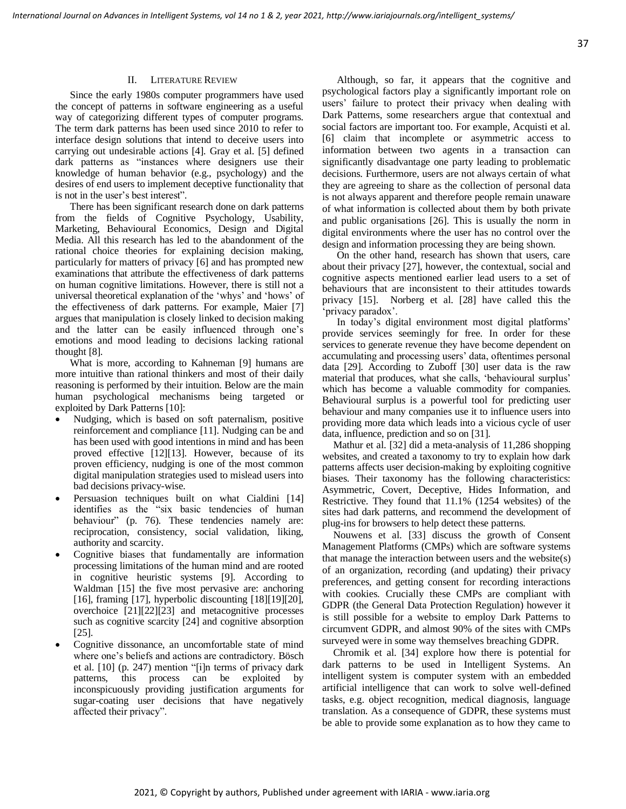#### II. LITERATURE REVIEW

Since the early 1980s computer programmers have used the concept of patterns in software engineering as a useful way of categorizing different types of computer programs. The term dark patterns has been used since 2010 to refer to interface design solutions that intend to deceive users into carrying out undesirable actions [4]. Gray et al. [5] defined dark patterns as "instances where designers use their knowledge of human behavior (e.g., psychology) and the desires of end users to implement deceptive functionality that is not in the user's best interest".

There has been significant research done on dark patterns from the fields of Cognitive Psychology, Usability, Marketing, Behavioural Economics, Design and Digital Media. All this research has led to the abandonment of the rational choice theories for explaining decision making, particularly for matters of privacy [6] and has prompted new examinations that attribute the effectiveness of dark patterns on human cognitive limitations. However, there is still not a universal theoretical explanation of the 'whys' and 'hows' of the effectiveness of dark patterns. For example, Maier [7] argues that manipulation is closely linked to decision making and the latter can be easily influenced through one's emotions and mood leading to decisions lacking rational thought [8].

What is more, according to Kahneman [9] humans are more intuitive than rational thinkers and most of their daily reasoning is performed by their intuition. Below are the main human psychological mechanisms being targeted or exploited by Dark Patterns [10]:

- Nudging, which is based on soft paternalism, positive reinforcement and compliance [11]. Nudging can be and has been used with good intentions in mind and has been proved effective [12][13]. However, because of its proven efficiency, nudging is one of the most common digital manipulation strategies used to mislead users into bad decisions privacy-wise.
- Persuasion techniques built on what Cialdini [14] identifies as the "six basic tendencies of human behaviour" (p. 76). These tendencies namely are: reciprocation, consistency, social validation, liking, authority and scarcity.
- Cognitive biases that fundamentally are information processing limitations of the human mind and are rooted in cognitive heuristic systems [9]. According to Waldman [15] the five most pervasive are: anchoring [16], framing [17], hyperbolic discounting [18][19][20], overchoice [21][22][23] and metacognitive processes such as cognitive scarcity [24] and cognitive absorption [25].
- Cognitive dissonance, an uncomfortable state of mind where one's beliefs and actions are contradictory. Bösch et al. [10] (p. 247) mention "[i]n terms of privacy dark patterns, this process can be exploited by inconspicuously providing justification arguments for sugar-coating user decisions that have negatively affected their privacy".

Although, so far, it appears that the cognitive and psychological factors play a significantly important role on users' failure to protect their privacy when dealing with Dark Patterns, some researchers argue that contextual and social factors are important too. For example, Acquisti et al. [6] claim that incomplete or asymmetric access to information between two agents in a transaction can significantly disadvantage one party leading to problematic decisions. Furthermore, users are not always certain of what they are agreeing to share as the collection of personal data is not always apparent and therefore people remain unaware of what information is collected about them by both private and public organisations [26]. This is usually the norm in digital environments where the user has no control over the design and information processing they are being shown.

On the other hand, research has shown that users, care about their privacy [27], however, the contextual, social and cognitive aspects mentioned earlier lead users to a set of behaviours that are inconsistent to their attitudes towards privacy [15]. Norberg et al. [28] have called this the 'privacy paradox'.

In today's digital environment most digital platforms' provide services seemingly for free. In order for these services to generate revenue they have become dependent on accumulating and processing users' data, oftentimes personal data [29]. According to Zuboff [30] user data is the raw material that produces, what she calls, 'behavioural surplus' which has become a valuable commodity for companies. Behavioural surplus is a powerful tool for predicting user behaviour and many companies use it to influence users into providing more data which leads into a vicious cycle of user data, influence, prediction and so on [31].

Mathur et al. [32] did a meta-analysis of 11,286 shopping websites, and created a taxonomy to try to explain how dark patterns affects user decision-making by exploiting cognitive biases. Their taxonomy has the following characteristics: Asymmetric, Covert, Deceptive, Hides Information, and Restrictive. They found that 11.1% (1254 websites) of the sites had dark patterns, and recommend the development of plug-ins for browsers to help detect these patterns.

Nouwens et al. [33] discuss the growth of Consent Management Platforms (CMPs) which are software systems that manage the interaction between users and the website(s) of an organization, recording (and updating) their privacy preferences, and getting consent for recording interactions with cookies. Crucially these CMPs are compliant with GDPR (the General Data Protection Regulation) however it is still possible for a website to employ Dark Patterns to circumvent GDPR, and almost 90% of the sites with CMPs surveyed were in some way themselves breaching GDPR.

Chromik et al. [34] explore how there is potential for dark patterns to be used in Intelligent Systems. An intelligent system is computer system with an embedded artificial intelligence that can work to solve well-defined tasks, e.g. object recognition, medical diagnosis, language translation. As a consequence of GDPR, these systems must be able to provide some explanation as to how they came to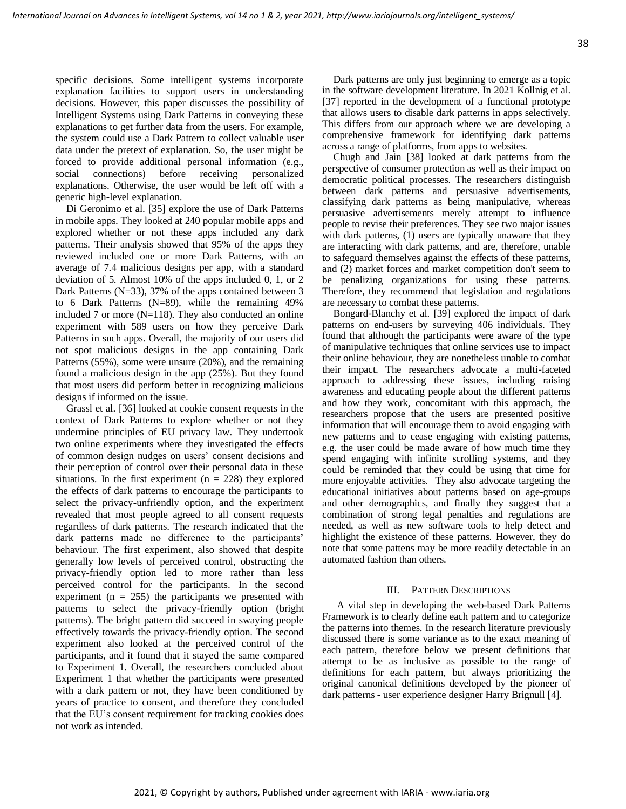specific decisions. Some intelligent systems incorporate explanation facilities to support users in understanding decisions. However, this paper discusses the possibility of Intelligent Systems using Dark Patterns in conveying these explanations to get further data from the users. For example, the system could use a Dark Pattern to collect valuable user data under the pretext of explanation. So, the user might be forced to provide additional personal information (e.g., social connections) before receiving personalized explanations. Otherwise, the user would be left off with a generic high-level explanation.

Di Geronimo et al. [35] explore the use of Dark Patterns in mobile apps. They looked at 240 popular mobile apps and explored whether or not these apps included any dark patterns. Their analysis showed that 95% of the apps they reviewed included one or more Dark Patterns, with an average of 7.4 malicious designs per app, with a standard deviation of 5. Almost 10% of the apps included 0, 1, or 2 Dark Patterns (N=33), 37% of the apps contained between 3 to 6 Dark Patterns (N=89), while the remaining 49% included 7 or more ( $N=118$ ). They also conducted an online experiment with 589 users on how they perceive Dark Patterns in such apps. Overall, the majority of our users did not spot malicious designs in the app containing Dark Patterns (55%), some were unsure (20%), and the remaining found a malicious design in the app (25%). But they found that most users did perform better in recognizing malicious designs if informed on the issue.

Grassl et al. [36] looked at cookie consent requests in the context of Dark Patterns to explore whether or not they undermine principles of EU privacy law. They undertook two online experiments where they investigated the effects of common design nudges on users' consent decisions and their perception of control over their personal data in these situations. In the first experiment  $(n = 228)$  they explored the effects of dark patterns to encourage the participants to select the privacy-unfriendly option, and the experiment revealed that most people agreed to all consent requests regardless of dark patterns. The research indicated that the dark patterns made no difference to the participants' behaviour. The first experiment, also showed that despite generally low levels of perceived control, obstructing the privacy-friendly option led to more rather than less perceived control for the participants. In the second experiment ( $n = 255$ ) the participants we presented with patterns to select the privacy-friendly option (bright patterns). The bright pattern did succeed in swaying people effectively towards the privacy-friendly option. The second experiment also looked at the perceived control of the participants, and it found that it stayed the same compared to Experiment 1. Overall, the researchers concluded about Experiment 1 that whether the participants were presented with a dark pattern or not, they have been conditioned by years of practice to consent, and therefore they concluded that the EU's consent requirement for tracking cookies does not work as intended.

Dark patterns are only just beginning to emerge as a topic in the software development literature. In 2021 Kollnig et al. [37] reported in the development of a functional prototype that allows users to disable dark patterns in apps selectively. This differs from our approach where we are developing a comprehensive framework for identifying dark patterns across a range of platforms, from apps to websites.

Chugh and Jain [38] looked at dark patterns from the perspective of consumer protection as well as their impact on democratic political processes. The researchers distinguish between dark patterns and persuasive advertisements, classifying dark patterns as being manipulative, whereas persuasive advertisements merely attempt to influence people to revise their preferences. They see two major issues with dark patterns, (1) users are typically unaware that they are interacting with dark patterns, and are, therefore, unable to safeguard themselves against the effects of these patterns, and (2) market forces and market competition don't seem to be penalizing organizations for using these patterns. Therefore, they recommend that legislation and regulations are necessary to combat these patterns.

Bongard-Blanchy et al. [39] explored the impact of dark patterns on end-users by surveying 406 individuals. They found that although the participants were aware of the type of manipulative techniques that online services use to impact their online behaviour, they are nonetheless unable to combat their impact. The researchers advocate a multi-faceted approach to addressing these issues, including raising awareness and educating people about the different patterns and how they work, concomitant with this approach, the researchers propose that the users are presented positive information that will encourage them to avoid engaging with new patterns and to cease engaging with existing patterns, e.g. the user could be made aware of how much time they spend engaging with infinite scrolling systems, and they could be reminded that they could be using that time for more enjoyable activities. They also advocate targeting the educational initiatives about patterns based on age-groups and other demographics, and finally they suggest that a combination of strong legal penalties and regulations are needed, as well as new software tools to help detect and highlight the existence of these patterns. However, they do note that some pattens may be more readily detectable in an automated fashion than others.

#### III. PATTERN DESCRIPTIONS

A vital step in developing the web-based Dark Patterns Framework is to clearly define each pattern and to categorize the patterns into themes. In the research literature previously discussed there is some variance as to the exact meaning of each pattern, therefore below we present definitions that attempt to be as inclusive as possible to the range of definitions for each pattern, but always prioritizing the original canonical definitions developed by the pioneer of dark patterns - user experience designer Harry Brignull [4].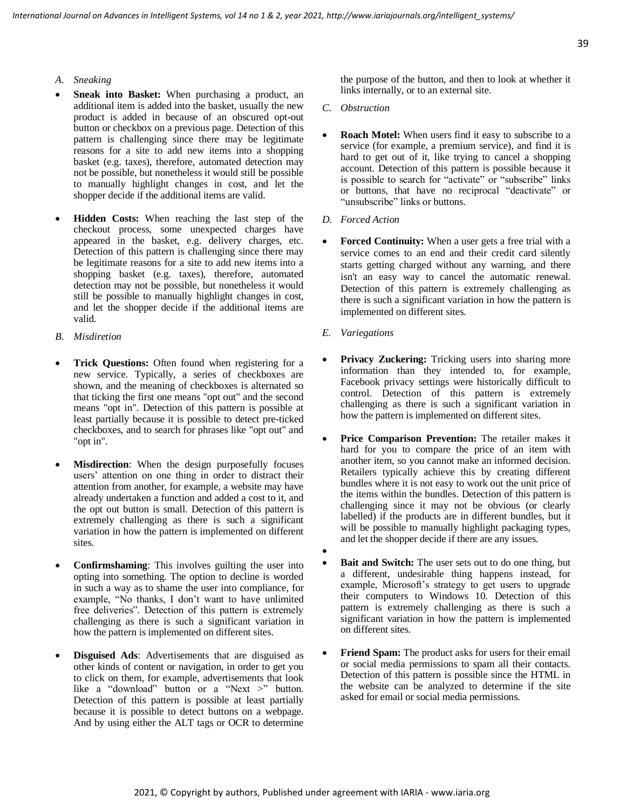- *A. Sneaking*
- Sneak into Basket: When purchasing a product, an additional item is added into the basket, usually the new product is added in because of an obscured opt-out button or checkbox on a previous page. Detection of this pattern is challenging since there may be legitimate reasons for a site to add new items into a shopping basket (e.g. taxes), therefore, automated detection may not be possible, but nonetheless it would still be possible to manually highlight changes in cost, and let the shopper decide if the additional items are valid.
- **Hidden Costs:** When reaching the last step of the checkout process, some unexpected charges have appeared in the basket, e.g. delivery charges, etc. Detection of this pattern is challenging since there may be legitimate reasons for a site to add new items into a shopping basket (e.g. taxes), therefore, automated detection may not be possible, but nonetheless it would still be possible to manually highlight changes in cost, and let the shopper decide if the additional items are valid.
- *B. Misdiretion*
- **Trick Questions:** Often found when registering for a new service. Typically, a series of checkboxes are shown, and the meaning of checkboxes is alternated so that ticking the first one means "opt out" and the second means "opt in". Detection of this pattern is possible at least partially because it is possible to detect pre-ticked checkboxes, and to search for phrases like "opt out" and "opt in".
- **Misdirection**: When the design purposefully focuses users' attention on one thing in order to distract their attention from another, for example, a website may have already undertaken a function and added a cost to it, and the opt out button is small. Detection of this pattern is extremely challenging as there is such a significant variation in how the pattern is implemented on different sites.
- **Confirmshaming**: This involves guilting the user into opting into something. The option to decline is worded in such a way as to shame the user into compliance, for example, "No thanks, I don't want to have unlimited free deliveries". Detection of this pattern is extremely challenging as there is such a significant variation in how the pattern is implemented on different sites.
- **Disguised Ads**: Advertisements that are disguised as other kinds of content or navigation, in order to get you to click on them, for example, advertisements that look like a "download" button or a "Next >" button. Detection of this pattern is possible at least partially because it is possible to detect buttons on a webpage. And by using either the ALT tags or OCR to determine

the purpose of the button, and then to look at whether it links internally, or to an external site.

- *C. Obstruction*
- **Roach Motel:** When users find it easy to subscribe to a service (for example, a premium service), and find it is hard to get out of it, like trying to cancel a shopping account. Detection of this pattern is possible because it is possible to search for "activate" or "subscribe" links or buttons, that have no reciprocal "deactivate" or "unsubscribe" links or buttons.
- *D. Forced Action*
- **Forced Continuity:** When a user gets a free trial with a service comes to an end and their credit card silently starts getting charged without any warning, and there isn't an easy way to cancel the automatic renewal. Detection of this pattern is extremely challenging as there is such a significant variation in how the pattern is implemented on different sites.
- *E. Variegations*
- **Privacy Zuckering:** Tricking users into sharing more information than they intended to, for example, Facebook privacy settings were historically difficult to control. Detection of this pattern is extremely challenging as there is such a significant variation in how the pattern is implemented on different sites.
- **Price Comparison Prevention:** The retailer makes it hard for you to compare the price of an item with another item, so you cannot make an informed decision. Retailers typically achieve this by creating different bundles where it is not easy to work out the unit price of the items within the bundles. Detection of this pattern is challenging since it may not be obvious (or clearly labelled) if the products are in different bundles, but it will be possible to manually highlight packaging types, and let the shopper decide if there are any issues.
- **Bait and Switch:** The user sets out to do one thing, but a different, undesirable thing happens instead, for example, Microsoft's strategy to get users to upgrade their computers to Windows 10. Detection of this pattern is extremely challenging as there is such a significant variation in how the pattern is implemented on different sites.
- **Friend Spam:** The product asks for users for their email or social media permissions to spam all their contacts. Detection of this pattern is possible since the HTML in the website can be analyzed to determine if the site asked for email or social media permissions.

•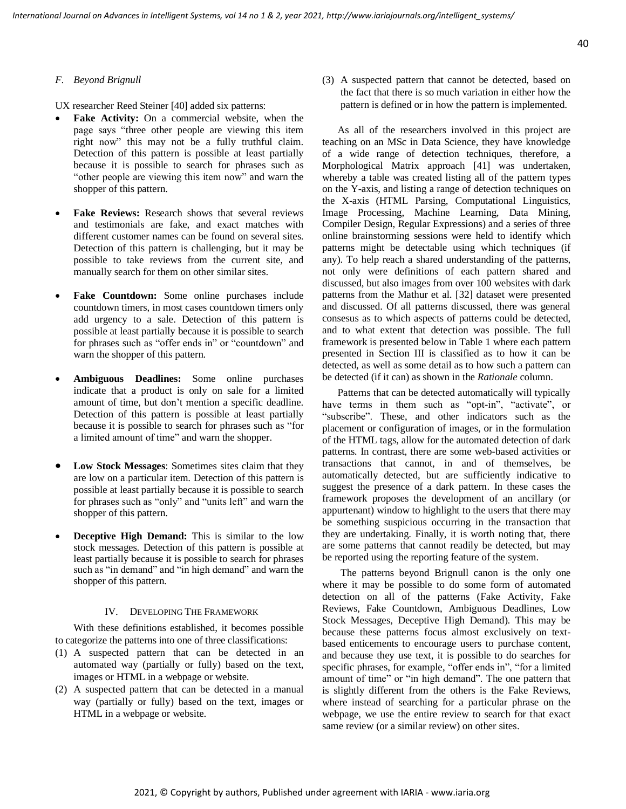#### *F. Beyond Brignull*

UX researcher Reed Steiner [40] added six patterns:

- **Fake Activity:** On a commercial website, when the page says "three other people are viewing this item right now" this may not be a fully truthful claim. Detection of this pattern is possible at least partially because it is possible to search for phrases such as "other people are viewing this item now" and warn the shopper of this pattern.
- Fake Reviews: Research shows that several reviews and testimonials are fake, and exact matches with different customer names can be found on several sites. Detection of this pattern is challenging, but it may be possible to take reviews from the current site, and manually search for them on other similar sites.
- Fake Countdown: Some online purchases include countdown timers, in most cases countdown timers only add urgency to a sale. Detection of this pattern is possible at least partially because it is possible to search for phrases such as "offer ends in" or "countdown" and warn the shopper of this pattern.
- **Ambiguous Deadlines:** Some online purchases indicate that a product is only on sale for a limited amount of time, but don't mention a specific deadline. Detection of this pattern is possible at least partially because it is possible to search for phrases such as "for a limited amount of time" and warn the shopper.
- **Low Stock Messages**: Sometimes sites claim that they are low on a particular item. Detection of this pattern is possible at least partially because it is possible to search for phrases such as "only" and "units left" and warn the shopper of this pattern.
- **Deceptive High Demand:** This is similar to the low stock messages. Detection of this pattern is possible at least partially because it is possible to search for phrases such as "in demand" and "in high demand" and warn the shopper of this pattern.

#### IV. DEVELOPING THE FRAMEWORK

With these definitions established, it becomes possible to categorize the patterns into one of three classifications:

- (1) A suspected pattern that can be detected in an automated way (partially or fully) based on the text, images or HTML in a webpage or website.
- (2) A suspected pattern that can be detected in a manual way (partially or fully) based on the text, images or HTML in a webpage or website.

(3) A suspected pattern that cannot be detected, based on the fact that there is so much variation in either how the pattern is defined or in how the pattern is implemented.

 As all of the researchers involved in this project are teaching on an MSc in Data Science, they have knowledge of a wide range of detection techniques, therefore, a Morphological Matrix approach [41] was undertaken, whereby a table was created listing all of the pattern types on the Y-axis, and listing a range of detection techniques on the X-axis (HTML Parsing, Computational Linguistics, Image Processing, Machine Learning, Data Mining, Compiler Design, Regular Expressions) and a series of three online brainstorming sessions were held to identify which patterns might be detectable using which techniques (if any). To help reach a shared understanding of the patterns, not only were definitions of each pattern shared and discussed, but also images from over 100 websites with dark patterns from the Mathur et al. [32] dataset were presented and discussed. Of all patterns discussed, there was general consesus as to which aspects of patterns could be detected, and to what extent that detection was possible. The full framework is presented below in Table 1 where each pattern presented in Section III is classified as to how it can be detected, as well as some detail as to how such a pattern can be detected (if it can) as shown in the *Rationale* column.

 Patterns that can be detected automatically will typically have terms in them such as "opt-in", "activate", or "subscribe". These, and other indicators such as the placement or configuration of images, or in the formulation of the HTML tags, allow for the automated detection of dark patterns. In contrast, there are some web-based activities or transactions that cannot, in and of themselves, be automatically detected, but are sufficiently indicative to suggest the presence of a dark pattern. In these cases the framework proposes the development of an ancillary (or appurtenant) window to highlight to the users that there may be something suspicious occurring in the transaction that they are undertaking. Finally, it is worth noting that, there are some patterns that cannot readily be detected, but may be reported using the reporting feature of the system.

The patterns beyond Brignull canon is the only one where it may be possible to do some form of automated detection on all of the patterns (Fake Activity, Fake Reviews, Fake Countdown, Ambiguous Deadlines, Low Stock Messages, Deceptive High Demand). This may be because these patterns focus almost exclusively on textbased enticements to encourage users to purchase content, and because they use text, it is possible to do searches for specific phrases, for example, "offer ends in", "for a limited amount of time" or "in high demand". The one pattern that is slightly different from the others is the Fake Reviews, where instead of searching for a particular phrase on the webpage, we use the entire review to search for that exact same review (or a similar review) on other sites.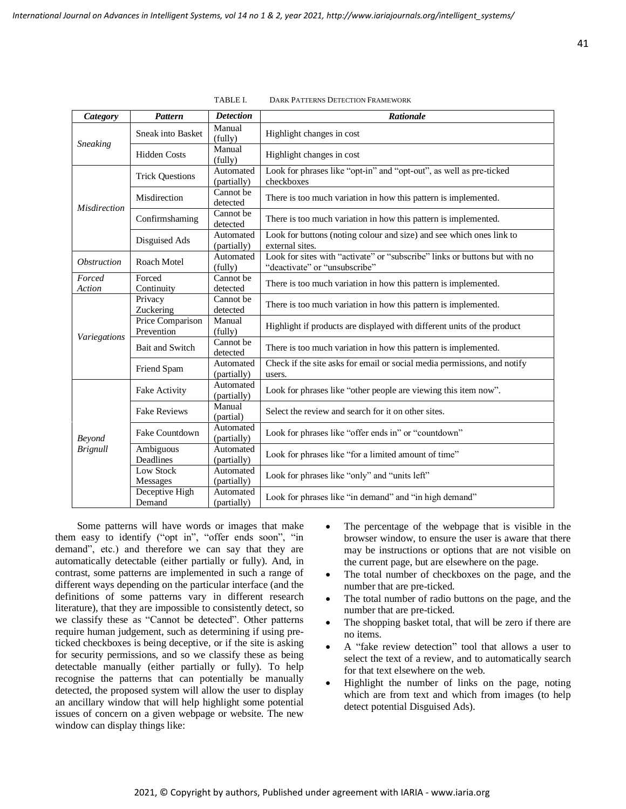| <b>Category</b>                  | <b>Pattern</b>                 | <b>Detection</b>         | Rationale                                                                                                   |
|----------------------------------|--------------------------------|--------------------------|-------------------------------------------------------------------------------------------------------------|
| <b>Sneaking</b>                  | <b>Sneak into Basket</b>       | Manual<br>(fully)        | Highlight changes in cost                                                                                   |
|                                  | <b>Hidden Costs</b>            | Manual<br>(fully)        | Highlight changes in cost                                                                                   |
| Misdirection                     | <b>Trick Questions</b>         | Automated<br>(partially) | Look for phrases like "opt-in" and "opt-out", as well as pre-ticked<br>checkboxes                           |
|                                  | Misdirection                   | Cannot be<br>detected    | There is too much variation in how this pattern is implemented.                                             |
|                                  | Confirmshaming                 | Cannot be<br>detected    | There is too much variation in how this pattern is implemented.                                             |
|                                  | Disguised Ads                  | Automated<br>(partially) | Look for buttons (noting colour and size) and see which ones link to<br>external sites.                     |
| <i><b>Obstruction</b></i>        | Roach Motel                    | Automated<br>(fully)     | Look for sites with "activate" or "subscribe" links or buttons but with no<br>"deactivate" or "unsubscribe" |
| Forced<br>Action                 | Forced<br>Continuity           | Cannot be<br>detected    | There is too much variation in how this pattern is implemented.                                             |
| Variegations                     | Privacy<br>Zuckering           | Cannot be<br>detected    | There is too much variation in how this pattern is implemented.                                             |
|                                  | Price Comparison<br>Prevention | Manual<br>(fully)        | Highlight if products are displayed with different units of the product                                     |
|                                  | Bait and Switch                | Cannot be<br>detected    | There is too much variation in how this pattern is implemented.                                             |
|                                  | Friend Spam                    | Automated<br>(partially) | Check if the site asks for email or social media permissions, and notify<br>users.                          |
| <b>Beyond</b><br><b>Brignull</b> | Fake Activity                  | Automated<br>(partially) | Look for phrases like "other people are viewing this item now".                                             |
|                                  | <b>Fake Reviews</b>            | Manual<br>(partial)      | Select the review and search for it on other sites.                                                         |
|                                  | Fake Countdown                 | Automated<br>(partially) | Look for phrases like "offer ends in" or "countdown"                                                        |
|                                  | Ambiguous<br>Deadlines         | Automated<br>(partially) | Look for phrases like "for a limited amount of time"                                                        |
|                                  | Low Stock<br>Messages          | Automated<br>(partially) | Look for phrases like "only" and "units left"                                                               |
|                                  | Deceptive High<br>Demand       | Automated<br>(partially) | Look for phrases like "in demand" and "in high demand"                                                      |

TABLE I. DARK PATTERNS DETECTION FRAMEWORK

Some patterns will have words or images that make them easy to identify ("opt in", "offer ends soon", "in demand", etc.) and therefore we can say that they are automatically detectable (either partially or fully). And, in contrast, some patterns are implemented in such a range of different ways depending on the particular interface (and the definitions of some patterns vary in different research literature), that they are impossible to consistently detect, so we classify these as "Cannot be detected". Other patterns require human judgement, such as determining if using preticked checkboxes is being deceptive, or if the site is asking for security permissions, and so we classify these as being detectable manually (either partially or fully). To help recognise the patterns that can potentially be manually detected, the proposed system will allow the user to display an ancillary window that will help highlight some potential issues of concern on a given webpage or website. The new window can display things like:

- The percentage of the webpage that is visible in the browser window, to ensure the user is aware that there may be instructions or options that are not visible on the current page, but are elsewhere on the page.
- The total number of checkboxes on the page, and the number that are pre-ticked.
- The total number of radio buttons on the page, and the number that are pre-ticked.
- The shopping basket total, that will be zero if there are no items.
- A "fake review detection" tool that allows a user to select the text of a review, and to automatically search for that text elsewhere on the web.
- Highlight the number of links on the page, noting which are from text and which from images (to help detect potential Disguised Ads).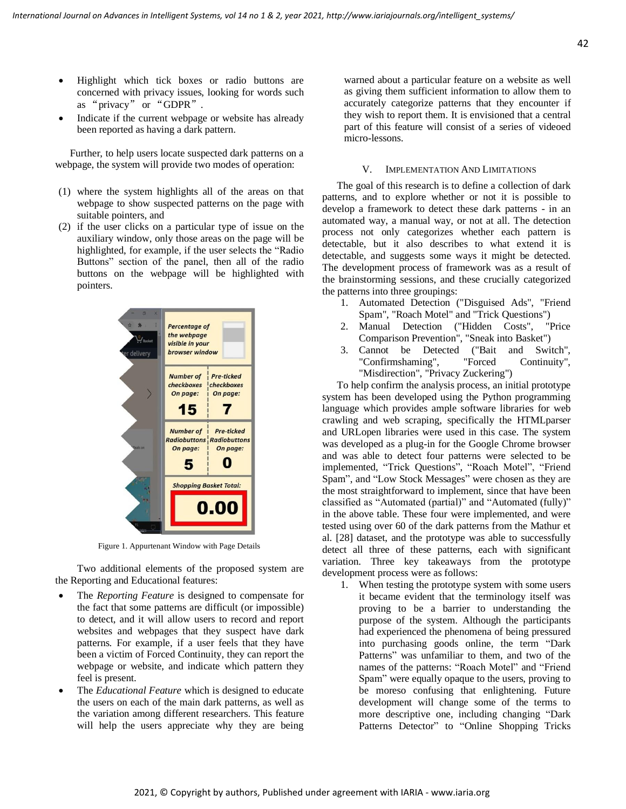- Highlight which tick boxes or radio buttons are concerned with privacy issues, looking for words such as "privacy" or "GDPR".
- Indicate if the current webpage or website has already been reported as having a dark pattern.

Further, to help users locate suspected dark patterns on a webpage, the system will provide two modes of operation:

- (1) where the system highlights all of the areas on that webpage to show suspected patterns on the page with suitable pointers, and
- (2) if the user clicks on a particular type of issue on the auxiliary window, only those areas on the page will be highlighted, for example, if the user selects the "Radio Buttons" section of the panel, then all of the radio buttons on the webpage will be highlighted with pointers.



Figure 1. Appurtenant Window with Page Details

Two additional elements of the proposed system are the Reporting and Educational features:

- The *Reporting Feature* is designed to compensate for the fact that some patterns are difficult (or impossible) to detect, and it will allow users to record and report websites and webpages that they suspect have dark patterns. For example, if a user feels that they have been a victim of Forced Continuity, they can report the webpage or website, and indicate which pattern they feel is present.
- The *Educational Feature* which is designed to educate the users on each of the main dark patterns, as well as the variation among different researchers. This feature will help the users appreciate why they are being

warned about a particular feature on a website as well as giving them sufficient information to allow them to accurately categorize patterns that they encounter if they wish to report them. It is envisioned that a central part of this feature will consist of a series of videoed micro-lessons.

#### V. IMPLEMENTATION AND LIMITATIONS

The goal of this research is to define a collection of dark patterns, and to explore whether or not it is possible to develop a framework to detect these dark patterns - in an automated way, a manual way, or not at all. The detection process not only categorizes whether each pattern is detectable, but it also describes to what extend it is detectable, and suggests some ways it might be detected. The development process of framework was as a result of the brainstorming sessions, and these crucially categorized the patterns into three groupings:

- 1. Automated Detection ("Disguised Ads", "Friend Spam", "Roach Motel" and "Trick Questions")
- 2. Manual Detection ("Hidden Costs", "Price Comparison Prevention", "Sneak into Basket")
- 3. Cannot be Detected ("Bait and Switch", "Confirmshaming", "Forced Continuity", "Misdirection", "Privacy Zuckering")

To help confirm the analysis process, an initial prototype system has been developed using the Python programming language which provides ample software libraries for web crawling and web scraping, specifically the HTMLparser and URLopen libraries were used in this case. The system was developed as a plug-in for the Google Chrome browser and was able to detect four patterns were selected to be implemented, "Trick Questions", "Roach Motel", "Friend Spam", and "Low Stock Messages" were chosen as they are the most straightforward to implement, since that have been classified as "Automated (partial)" and "Automated (fully)" in the above table. These four were implemented, and were tested using over 60 of the dark patterns from the Mathur et al. [28] dataset, and the prototype was able to successfully detect all three of these patterns, each with significant variation. Three key takeaways from the prototype development process were as follows:

1. When testing the prototype system with some users it became evident that the terminology itself was proving to be a barrier to understanding the purpose of the system. Although the participants had experienced the phenomena of being pressured into purchasing goods online, the term "Dark Patterns" was unfamiliar to them, and two of the names of the patterns: "Roach Motel" and "Friend Spam" were equally opaque to the users, proving to be moreso confusing that enlightening. Future development will change some of the terms to more descriptive one, including changing "Dark Patterns Detector" to "Online Shopping Tricks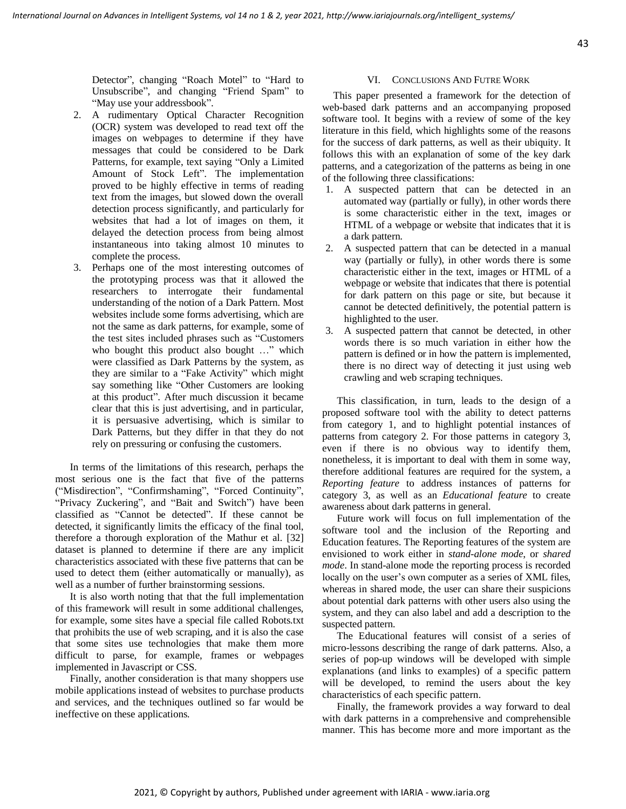Detector", changing "Roach Motel" to "Hard to Unsubscribe", and changing "Friend Spam" to "May use your addressbook".

- 2. A rudimentary Optical Character Recognition (OCR) system was developed to read text off the images on webpages to determine if they have messages that could be considered to be Dark Patterns, for example, text saying "Only a Limited Amount of Stock Left". The implementation proved to be highly effective in terms of reading text from the images, but slowed down the overall detection process significantly, and particularly for websites that had a lot of images on them, it delayed the detection process from being almost instantaneous into taking almost 10 minutes to complete the process.
- 3. Perhaps one of the most interesting outcomes of the prototyping process was that it allowed the researchers to interrogate their fundamental understanding of the notion of a Dark Pattern. Most websites include some forms advertising, which are not the same as dark patterns, for example, some of the test sites included phrases such as "Customers who bought this product also bought ..." which were classified as Dark Patterns by the system, as they are similar to a "Fake Activity" which might say something like "Other Customers are looking at this product". After much discussion it became clear that this is just advertising, and in particular, it is persuasive advertising, which is similar to Dark Patterns, but they differ in that they do not rely on pressuring or confusing the customers.

In terms of the limitations of this research, perhaps the most serious one is the fact that five of the patterns ("Misdirection", "Confirmshaming", "Forced Continuity", "Privacy Zuckering", and "Bait and Switch") have been classified as "Cannot be detected". If these cannot be detected, it significantly limits the efficacy of the final tool, therefore a thorough exploration of the Mathur et al. [32] dataset is planned to determine if there are any implicit characteristics associated with these five patterns that can be used to detect them (either automatically or manually), as well as a number of further brainstorming sessions.

It is also worth noting that that the full implementation of this framework will result in some additional challenges, for example, some sites have a special file called Robots.txt that prohibits the use of web scraping, and it is also the case that some sites use technologies that make them more difficult to parse, for example, frames or webpages implemented in Javascript or CSS.

Finally, another consideration is that many shoppers use mobile applications instead of websites to purchase products and services, and the techniques outlined so far would be ineffective on these applications.

#### VI. CONCLUSIONS AND FUTRE WORK

This paper presented a framework for the detection of web-based dark patterns and an accompanying proposed software tool. It begins with a review of some of the key literature in this field, which highlights some of the reasons for the success of dark patterns, as well as their ubiquity. It follows this with an explanation of some of the key dark patterns, and a categorization of the patterns as being in one of the following three classifications:

- 1. A suspected pattern that can be detected in an automated way (partially or fully), in other words there is some characteristic either in the text, images or HTML of a webpage or website that indicates that it is a dark pattern.
- 2. A suspected pattern that can be detected in a manual way (partially or fully), in other words there is some characteristic either in the text, images or HTML of a webpage or website that indicates that there is potential for dark pattern on this page or site, but because it cannot be detected definitively, the potential pattern is highlighted to the user.
- 3. A suspected pattern that cannot be detected, in other words there is so much variation in either how the pattern is defined or in how the pattern is implemented, there is no direct way of detecting it just using web crawling and web scraping techniques.

This classification, in turn, leads to the design of a proposed software tool with the ability to detect patterns from category 1, and to highlight potential instances of patterns from category 2. For those patterns in category 3, even if there is no obvious way to identify them, nonetheless, it is important to deal with them in some way, therefore additional features are required for the system, a *Reporting feature* to address instances of patterns for category 3, as well as an *Educational feature* to create awareness about dark patterns in general.

Future work will focus on full implementation of the software tool and the inclusion of the Reporting and Education features. The Reporting features of the system are envisioned to work either in *stand-alone mode*, or *shared mode*. In stand-alone mode the reporting process is recorded locally on the user's own computer as a series of XML files, whereas in shared mode, the user can share their suspicions about potential dark patterns with other users also using the system, and they can also label and add a description to the suspected pattern.

The Educational features will consist of a series of micro-lessons describing the range of dark patterns. Also, a series of pop-up windows will be developed with simple explanations (and links to examples) of a specific pattern will be developed, to remind the users about the key characteristics of each specific pattern.

Finally, the framework provides a way forward to deal with dark patterns in a comprehensive and comprehensible manner. This has become more and more important as the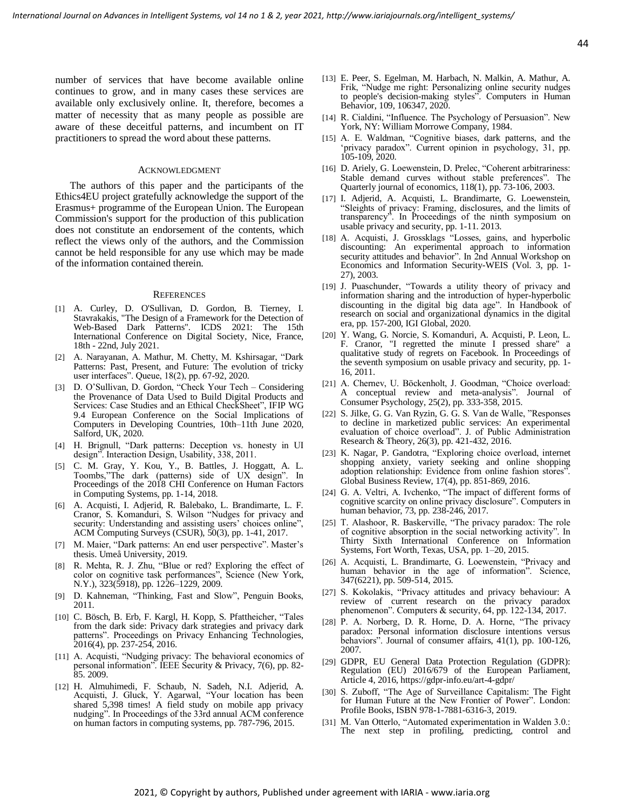number of services that have become available online continues to grow, and in many cases these services are available only exclusively online. It, therefore, becomes a matter of necessity that as many people as possible are aware of these deceitful patterns, and incumbent on IT practitioners to spread the word about these patterns.

#### ACKNOWLEDGMENT

The authors of this paper and the participants of the Ethics4EU project gratefully acknowledge the support of the Erasmus+ programme of the European Union. The European Commission's support for the production of this publication does not constitute an endorsement of the contents, which reflect the views only of the authors, and the Commission cannot be held responsible for any use which may be made of the information contained therein.

#### **REFERENCES**

- [1] A. Curley, D. O'Sullivan, D. Gordon, B. Tierney, I. Stavrakakis, "The Design of a Framework for the Detection of Web-Based Dark Patterns". ICDS 2021: The 15th International Conference on Digital Society, Nice, France, 18th - 22nd, July 2021.
- [2] A. Narayanan, A. Mathur, M. Chetty, M. Kshirsagar, "Dark Patterns: Past, Present, and Future: The evolution of tricky user interfaces". Queue, 18(2), pp. 67-92, 2020.
- [3] D. O'Sullivan, D. Gordon, "Check Your Tech Considering the Provenance of Data Used to Build Digital Products and Services: Case Studies and an Ethical CheckSheet", IFIP WG 9.4 European Conference on the Social Implications of Computers in Developing Countries, 10th–11th June 2020, Salford, UK, 2020.
- [4] H. Brignull, "Dark patterns: Deception vs. honesty in UI design". Interaction Design, Usability, 338, 2011.
- [5] C. M. Gray, Y. Kou, Y., B. Battles, J. Hoggatt, A. L. Toombs,"The dark (patterns) side of UX design". In Proceedings of the 2018 CHI Conference on Human Factors in Computing Systems, pp. 1-14, 2018.
- [6] A. Acquisti, I. Adjerid, R. Balebako, L. Brandimarte, L. F. Cranor, S. Komanduri, S. Wilson "Nudges for privacy and security: Understanding and assisting users' choices online", ACM Computing Surveys (CSUR), 50(3), pp. 1-41, 2017.
- [7] M. Maier, "Dark patterns: An end user perspective". Master's thesis. Umeå University, 2019.
- [8] R. Mehta, R. J. Zhu, "Blue or red? Exploring the effect of color on cognitive task performances", Science (New York, N.Y.), 323(5918), pp. 1226–1229, 2009.
- [9] D. Kahneman, "Thinking, Fast and Slow", Penguin Books, 2011.
- [10] C. Bösch, B. Erb, F. Kargl, H. Kopp, S. Pfattheicher, "Tales from the dark side: Privacy dark strategies and privacy dark patterns". Proceedings on Privacy Enhancing Technologies,  $2016(4)$ , pp. 237-254, 2016.
- [11] A. Acquisti, "Nudging privacy: The behavioral economics of personal information". IEEE Security & Privacy, 7(6), pp. 82- 85. 2009.
- [12] H. Almuhimedi, F. Schaub, N. Sadeh, N.I. Adjerid, A. Acquisti, J. Gluck, Y. Agarwal, "Your location has been shared 5,398 times! A field study on mobile app privacy nudging". In Proceedings of the 33rd annual ACM conference on human factors in computing systems, pp. 787-796, 2015.
- [13] E. Peer, S. Egelman, M. Harbach, N. Malkin, A. Mathur, A. Frik, "Nudge me right: Personalizing online security nudges to people's decision-making styles". Computers in Human Behavior, 109, 106347, 2020.
- [14] R. Cialdini, "Influence. The Psychology of Persuasion". New York, NY: William Morrowe Company, 1984.
- [15] A. E. Waldman, "Cognitive biases, dark patterns, and the 'privacy paradox". Current opinion in psychology, 31, pp. 105-109, 2020.
- [16] D. Ariely, G. Loewenstein, D. Prelec, "Coherent arbitrariness: Stable demand curves without stable preferences". The Quarterly journal of economics, 118(1), pp. 73-106, 2003.
- [17] I. Adjerid, A. Acquisti, L. Brandimarte, G. Loewenstein, "Sleights of privacy: Framing, disclosures, and the limits of transparency". In Proceedings of the ninth symposium on usable privacy and security, pp. 1-11. 2013.
- [18] A. Acquisti, J. Grossklags "Losses, gains, and hyperbolic discounting: An experimental approach to information security attitudes and behavior". In 2nd Annual Workshop on Economics and Information Security-WEIS (Vol. 3, pp. 1- 27), 2003.
- [19] J. Puaschunder, "Towards a utility theory of privacy and information sharing and the introduction of hyper-hyperbolic discounting in the digital big data age". In Handbook of research on social and organizational dynamics in the digital era, pp. 157-200, IGI Global, 2020.
- [20] Y. Wang, G. Norcie, S. Komanduri, A. Acquisti, P. Leon, L. F. Cranor, "I regretted the minute I pressed share" qualitative study of regrets on Facebook. In Proceedings of the seventh symposium on usable privacy and security, pp. 1- 16, 2011.
- [21] A. Chernev, U. Böckenholt, J. Goodman, "Choice overload: A conceptual review and meta-analysis". Journal of Consumer Psychology, 25(2), pp. 333-358, 2015.
- [22] S. Jilke, G. G. Van Ryzin, G. G. S. Van de Walle, "Responses to decline in marketized public services: An experimental evaluation of choice overload". J. of Public Administration Research & Theory, 26(3), pp. 421-432, 2016.
- [23] K. Nagar, P. Gandotra, "Exploring choice overload, internet shopping anxiety, variety seeking and online shopping adoption relationship: Evidence from online fashion stores". Global Business Review, 17(4), pp. 851-869, 2016.
- [24] G. A. Veltri, A. Ivchenko, "The impact of different forms of cognitive scarcity on online privacy disclosure". Computers in human behavior, 73, pp. 238-246, 2017.
- [25] T. Alashoor, R. Baskerville, "The privacy paradox: The role of cognitive absorption in the social networking activity". In Thirty Sixth International Conference on Information Systems, Fort Worth, Texas, USA, pp. 1–20, 2015.
- [26] A. Acquisti, L. Brandimarte, G. Loewenstein, "Privacy and human behavior in the age of information". Science, 347(6221), pp. 509-514, 2015.
- [27] S. Kokolakis, "Privacy attitudes and privacy behaviour: A review of current research on the privacy paradox phenomenon". Computers & security, 64, pp. 122-134, 2017.
- [28] P. A. Norberg, D. R. Horne, D. A. Horne, "The privacy paradox: Personal information disclosure intentions versus behaviors". Journal of consumer affairs, 41(1), pp. 100-126, 2007.
- [29] GDPR, EU General Data Protection Regulation (GDPR): Regulation (EU) 2016/679 of the European Parliament, Article 4, 2016, https://gdpr-info.eu/art-4-gdpr/
- [30] S. Zuboff, "The Age of Surveillance Capitalism: The Fight for Human Future at the New Frontier of Power". London: Profile Books, ISBN 978-1-7881-6316-3, 2019.
- [31] M. Van Otterlo, "Automated experimentation in Walden 3.0.: The next step in profiling, predicting, control and